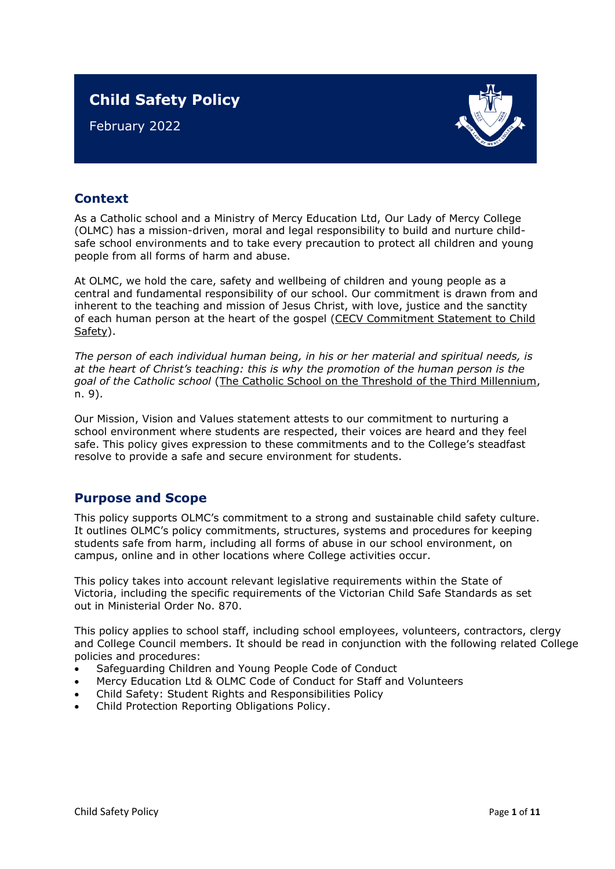# **Child Safety Policy**

February 2022



## **Context**

As a Catholic school and a Ministry of Mercy Education Ltd, Our Lady of Mercy College (OLMC) has a mission-driven, moral and legal responsibility to build and nurture childsafe school environments and to take every precaution to protect all children and young people from all forms of harm and abuse.

At OLMC, we hold the care, safety and wellbeing of children and young people as a central and fundamental responsibility of our school. Our commitment is drawn from and inherent to the teaching and mission of Jesus Christ, with love, justice and the sanctity of each human person at the heart of the gospel [\(CECV Commitment Statement to Child](https://www.cecv.catholic.edu.au/getmedia/b5d43278-51b9-4704-b45a-f14e50546a70/Commitment-Statement-A4.aspx)  [Safety\)](https://www.cecv.catholic.edu.au/getmedia/b5d43278-51b9-4704-b45a-f14e50546a70/Commitment-Statement-A4.aspx).

*The person of each individual human being, in his or her material and spiritual needs, is at the heart of Christ's teaching: this is why the promotion of the human person is the goal of the Catholic school* [\(The Catholic School on the Threshold of the Third Millennium,](http://www.vatican.va/roman_curia/congregations/ccatheduc/documents/rc_con_ccatheduc_doc_27041998_school2000_en.html) n. 9).

Our Mission, Vision and Values statement attests to our commitment to nurturing a school environment where students are respected, their voices are heard and they feel safe. This policy gives expression to these commitments and to the College's steadfast resolve to provide a safe and secure environment for students.

### **Purpose and Scope**

This policy supports OLMC's commitment to a strong and sustainable child safety culture. It outlines OLMC's policy commitments, structures, systems and procedures for keeping students safe from harm, including all forms of abuse in our school environment, on campus, online and in other locations where College activities occur.

This policy takes into account relevant legislative requirements within the State of Victoria, including the specific requirements of the Victorian Child Safe Standards as set out in [Ministerial Order No. 870.](http://www.gazette.vic.gov.au/gazette/Gazettes2016/GG2016S002.pdf)

This policy applies to school staff, including school employees, volunteers, contractors, clergy and College Council members. It should be read in conjunction with the following related College policies and procedures:

- Safeguarding Children and Young People Code of Conduct
- Mercy Education Ltd & OLMC Code of Conduct for Staff and Volunteers
- Child Safety: Student Rights and Responsibilities Policy
- Child Protection Reporting Obligations Policy.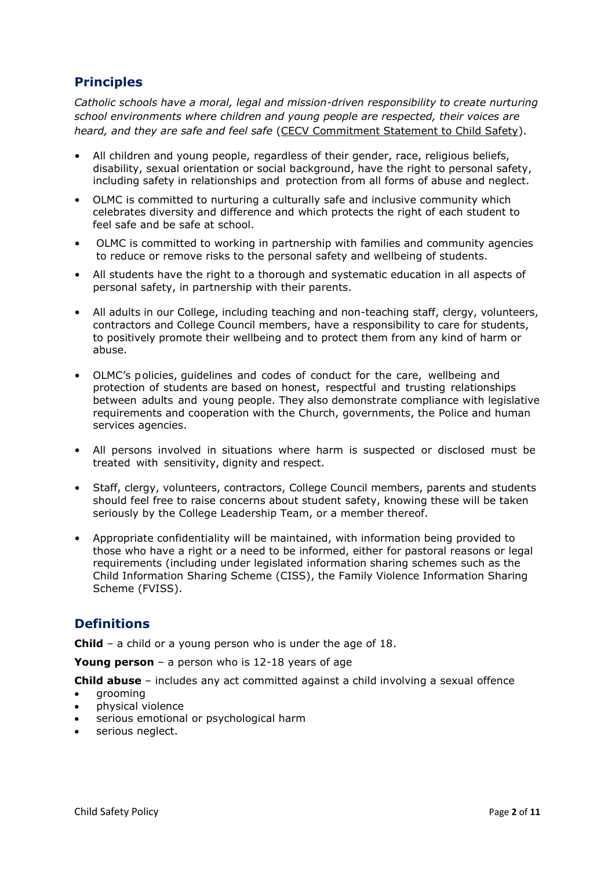## **Principles**

*Catholic schools have a moral, legal and mission-driven responsibility to create nurturing school environments where children and young people are respected, their voices are heard, and they are safe and feel safe* [\(CECV Commitment Statement to Child Safety\)](https://www.cecv.catholic.edu.au/getmedia/b5d43278-51b9-4704-b45a-f14e50546a70/Commitment-Statement-A4.aspx).

- All children and young people, regardless of their gender, race, religious beliefs, disability, sexual orientation or social background, have the right to personal safety, including safety in relationships and protection from all forms of abuse and neglect.
- OLMC is committed to nurturing a culturally safe and inclusive community which celebrates diversity and difference and which protects the right of each student to feel safe and be safe at school.
- OLMC is committed to working in partnership with families and community agencies to reduce or remove risks to the personal safety and wellbeing of students.
- All students have the right to a thorough and systematic education in all aspects of personal safety, in partnership with their parents.
- All adults in our College, including teaching and non-teaching staff, clergy, volunteers, contractors and College Council members, have a responsibility to care for students, to positively promote their wellbeing and to protect them from any kind of harm or abuse.
- OLMC's policies, guidelines and codes of conduct for the care, wellbeing and protection of students are based on honest, respectful and trusting relationships between adults and young people. They also demonstrate compliance with legislative requirements and cooperation with the Church, governments, the Police and human services agencies.
- All persons involved in situations where harm is suspected or disclosed must be treated with sensitivity, dignity and respect.
- Staff, clergy, volunteers, contractors, College Council members, parents and students should feel free to raise concerns about student safety, knowing these will be taken seriously by the College Leadership Team, or a member thereof.
- Appropriate confidentiality will be maintained, with information being provided to those who have a right or a need to be informed, either for pastoral reasons or legal requirements (including under legislated information sharing schemes such as the Child Information Sharing Scheme (CISS), the Family Violence Information Sharing Scheme (FVISS).

## **Definitions**

**Child** – a child or a young person who is under the age of 18.

**Young person** – a person who is 12-18 years of age

**Child abuse** – includes any act committed against a child involving a sexual offence

- grooming
- physical violence
- serious emotional or psychological harm
- serious neglect.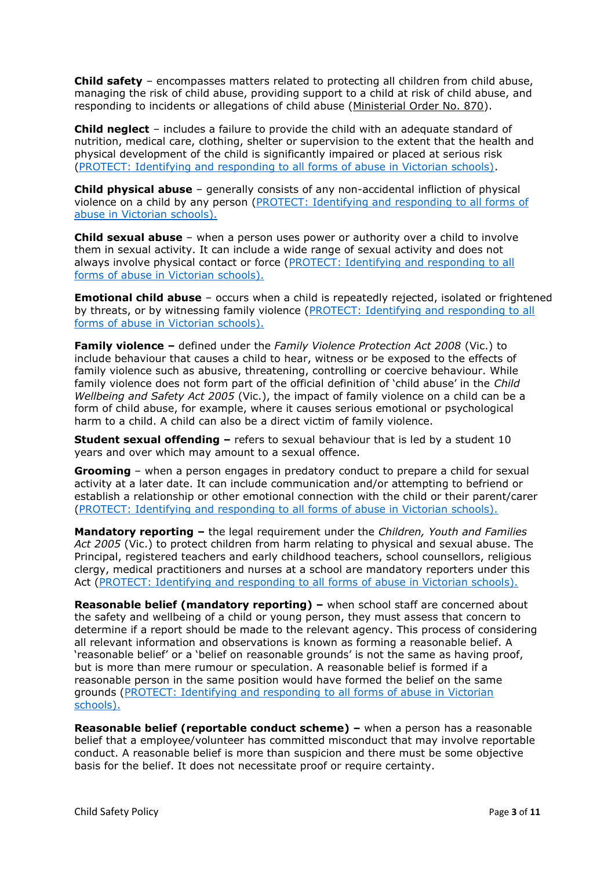**Child safety** – encompasses matters related to protecting all children from child abuse, managing the risk of child abuse, providing support to a child at risk of child abuse, and responding to incidents or allegations of child abuse [\(Ministerial Order No. 870\)](http://www.gazette.vic.gov.au/gazette/Gazettes2016/GG2016S002.pdf).

**Child neglect** – includes a failure to provide the child with an adequate standard of nutrition, medical care, clothing, shelter or supervision to the extent that the health and physical development of the child is significantly impaired or placed at serious risk [\(PROTECT: Identifying and responding to all forms of abuse in Victorian schools\).](http://www.cecv.catholic.edu.au/getmedia/ebe135a4-d1b3-48a0-81fe-50d4fc451bcd/Identifying-and-Responding-to-All-Forms-of-Abuse.aspx#page%3D27)

**Child physical abuse** – generally consists of any non-accidental infliction of physical violence on a child by any person [\(PROTECT: Identifying and responding to all forms of](https://www.cecv.catholic.edu.au/getmedia/ebe135a4-d1b3-48a0-81fe-50d4fc451bcd/Identifying-and-Responding-to-All-Forms-of-Abuse.aspx#page%3D15)  [abuse in Victorian schools\).](https://www.cecv.catholic.edu.au/getmedia/ebe135a4-d1b3-48a0-81fe-50d4fc451bcd/Identifying-and-Responding-to-All-Forms-of-Abuse.aspx#page%3D15)

**Child sexual abuse** – when a person uses power or authority over a child to involve them in sexual activity. It can include a wide range of sexual activity and does not always involve physical contact or force (PROTECT: Identifying and responding to all [forms of abuse in Victorian schools\).](https://www.cecv.catholic.edu.au/getmedia/ebe135a4-d1b3-48a0-81fe-50d4fc451bcd/Identifying-and-Responding-to-All-Forms-of-Abuse.aspx#page%3D17)

**Emotional child abuse** – occurs when a child is repeatedly rejected, isolated or frightened by threats, or by witnessing family violence (PROTECT: Identifying and responding to all [forms of abuse in Victorian schools\).](https://www.cecv.catholic.edu.au/getmedia/ebe135a4-d1b3-48a0-81fe-50d4fc451bcd/Identifying-and-Responding-to-All-Forms-of-Abuse.aspx#page%3D26)

**Family violence –** defined under the *Family Violence Protection Act 2008* (Vic.) to include behaviour that causes a child to hear, witness or be exposed to the effects of family violence such as abusive, threatening, controlling or coercive behaviour. While family violence does not form part of the official definition of 'child abuse' in the *Child Wellbeing and Safety Act 2005* (Vic.), the impact of family violence on a child can be a form of child abuse, for example, where it causes serious emotional or psychological harm to a child. A child can also be a direct victim of family violence.

**Student sexual offending –** refers to sexual behaviour that is led by a student 10 years and over which may amount to a sexual offence.

**Grooming** – when a person engages in predatory conduct to prepare a child for sexual activity at a later date. It can include communication and/or attempting to befriend or establish a relationship or other emotional connection with the child or their parent/carer [\(PROTECT: Identifying and responding to all forms of abuse in Victorian schools\).](https://www.cecv.catholic.edu.au/getmedia/ebe135a4-d1b3-48a0-81fe-50d4fc451bcd/Identifying-and-Responding-to-All-Forms-of-Abuse.aspx#page%3D20)

**Mandatory reporting –** the legal requirement under the *Children, Youth and Families Act 2005* (Vic.) to protect children from harm relating to physical and sexual abuse. The Principal, registered teachers and early childhood teachers, school counsellors, religious clergy, medical practitioners and nurses at a school are mandatory reporters under this Act [\(PROTECT: Identifying and responding to all forms of abuse in Victorian schools\).](http://www.cecv.catholic.edu.au/getmedia/ebe135a4-d1b3-48a0-81fe-50d4fc451bcd/Identifying-and-Responding-to-All-Forms-of-Abuse.aspx#page%3D8)

**Reasonable belief (mandatory reporting) –** when school staff are concerned about the safety and wellbeing of a child or young person, they must assess that concern to determine if a report should be made to the relevant agency. This process of considering all relevant information and observations is known as forming a reasonable belief. A 'reasonable belief' or a 'belief on reasonable grounds' is not the same as having proof, but is more than mere rumour or speculation. A reasonable belief is formed if a reasonable person in the same position would have formed the belief on the same grounds [\(PROTECT: Identifying and responding to all forms of abuse in Victorian](http://www.cecv.catholic.edu.au/getmedia/ebe135a4-d1b3-48a0-81fe-50d4fc451bcd/Identifying-and-Responding-to-All-Forms-of-Abuse.aspx#page%3D35)  [schools\).](http://www.cecv.catholic.edu.au/getmedia/ebe135a4-d1b3-48a0-81fe-50d4fc451bcd/Identifying-and-Responding-to-All-Forms-of-Abuse.aspx#page%3D35)

**Reasonable belief (reportable conduct scheme) –** when a person has a reasonable belief that a employee/volunteer has committed misconduct that may involve reportable conduct. A reasonable belief is more than suspicion and there must be some objective basis for the belief. It does not necessitate proof or require certainty.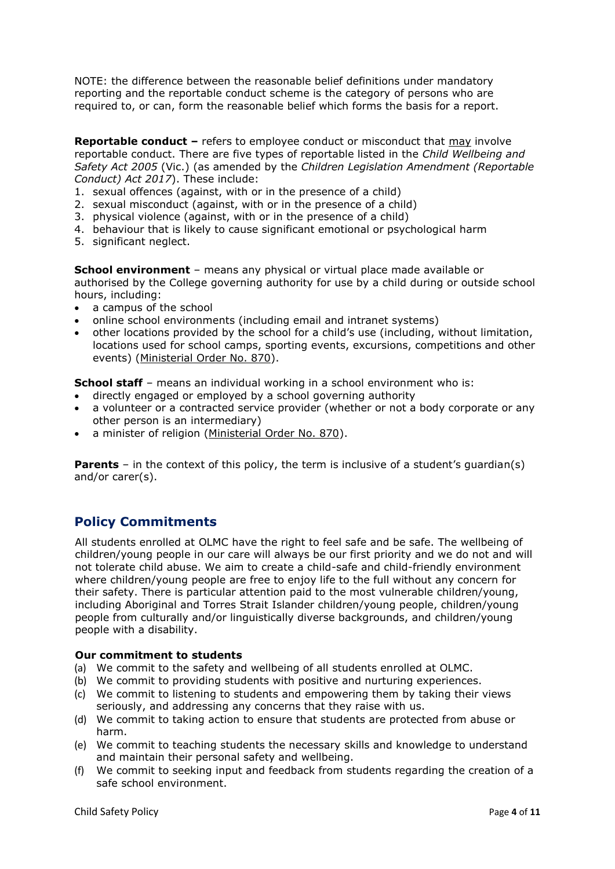NOTE: the difference between the reasonable belief definitions under mandatory reporting and the reportable conduct scheme is the category of persons who are required to, or can, form the reasonable belief which forms the basis for a report.

**Reportable conduct –** refers to employee conduct or misconduct that may involve reportable conduct. There are five types of reportable listed in the *Child Wellbeing and Safety Act 2005* (Vic.) (as amended by the *Children Legislation Amendment (Reportable Conduct) Act 2017*). These include:

- 1. sexual offences (against, with or in the presence of a child)
- 2. sexual misconduct (against, with or in the presence of a child)
- 3. physical violence (against, with or in the presence of a child)
- 4. behaviour that is likely to cause significant emotional or psychological harm
- 5. significant neglect.

**School environment** – means any physical or virtual place made available or authorised by the College governing authority for use by a child during or outside school hours, including:

- a campus of the school
- online school environments (including email and intranet systems)
- other locations provided by the school for a child's use (including, without limitation, locations used for school camps, sporting events, excursions, competitions and other events) [\(Ministerial Order No. 870\)](http://www.gazette.vic.gov.au/gazette/Gazettes2016/GG2016S002.pdf).

**School staff** – means an individual working in a school environment who is:

- directly engaged or employed by a school governing authority
- a volunteer or a contracted service provider (whether or not a body corporate or any other person is an intermediary)
- a minister of religion [\(Ministerial Order No. 870\)](http://www.gazette.vic.gov.au/gazette/Gazettes2016/GG2016S002.pdf).

**Parents** – in the context of this policy, the term is inclusive of a student's guardian(s) and/or carer(s).

### **Policy Commitments**

All students enrolled at OLMC have the right to feel safe and be safe. The wellbeing of children/young people in our care will always be our first priority and we do not and will not tolerate child abuse. We aim to create a child-safe and child-friendly environment where children/young people are free to enjoy life to the full without any concern for their safety. There is particular attention paid to the most vulnerable children/young, including Aboriginal and Torres Strait Islander children/young people, children/young people from culturally and/or linguistically diverse backgrounds, and children/young people with a disability.

#### **Our commitment to students**

- (a) We commit to the safety and wellbeing of all students enrolled at OLMC.
- (b) We commit to providing students with positive and nurturing experiences.
- (c) We commit to listening to students and empowering them by taking their views seriously, and addressing any concerns that they raise with us.
- (d) We commit to taking action to ensure that students are protected from abuse or harm.
- (e) We commit to teaching students the necessary skills and knowledge to understand and maintain their personal safety and wellbeing.
- (f) We commit to seeking input and feedback from students regarding the creation of a safe school environment.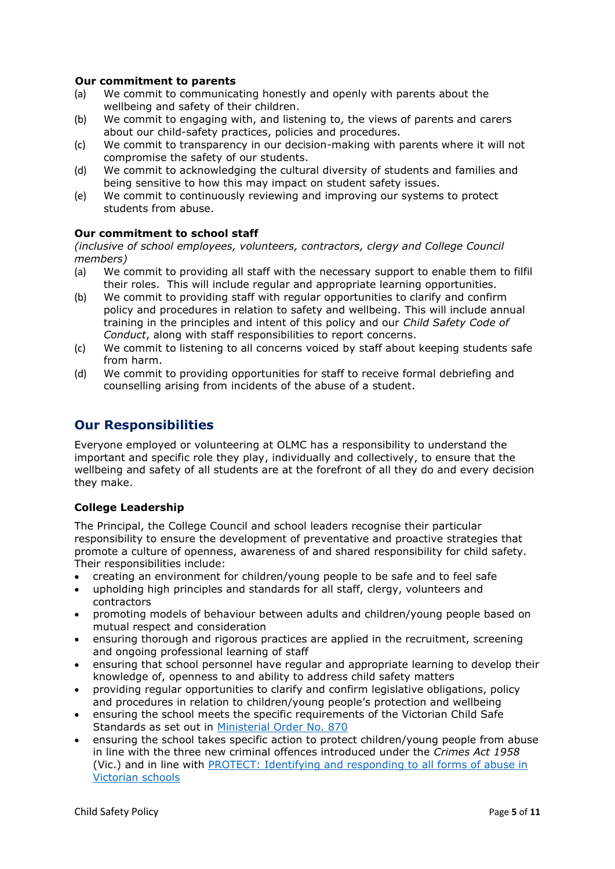#### **Our commitment to parents**

- (a) We commit to communicating honestly and openly with parents about the wellbeing and safety of their children.
- (b) We commit to engaging with, and listening to, the views of parents and carers about our child-safety practices, policies and procedures.
- (c) We commit to transparency in our decision-making with parents where it will not compromise the safety of our students.
- (d) We commit to acknowledging the cultural diversity of students and families and being sensitive to how this may impact on student safety issues.
- (e) We commit to continuously reviewing and improving our systems to protect students from abuse.

#### **Our commitment to school staff**

*(inclusive of school employees, volunteers, contractors, clergy and College Council members)*

- (a) We commit to providing all staff with the necessary support to enable them to filfil their roles. This will include regular and appropriate learning opportunities.
- (b) We commit to providing staff with regular opportunities to clarify and confirm policy and procedures in relation to safety and wellbeing. This will include annual training in the principles and intent of this policy and our *Child Safety Code of Conduct*, along with staff responsibilities to report concerns.
- (c) We commit to listening to all concerns voiced by staff about keeping students safe from harm.
- (d) We commit to providing opportunities for staff to receive formal debriefing and counselling arising from incidents of the abuse of a student.

### **Our Responsibilities**

Everyone employed or volunteering at OLMC has a responsibility to understand the important and specific role they play, individually and collectively, to ensure that the wellbeing and safety of all students are at the forefront of all they do and every decision they make.

#### **College Leadership**

The Principal, the College Council and school leaders recognise their particular responsibility to ensure the development of preventative and proactive strategies that promote a culture of openness, awareness of and shared responsibility for child safety. Their responsibilities include:

- creating an environment for children/young people to be safe and to feel safe
- upholding high principles and standards for all staff, clergy, volunteers and contractors
- promoting models of behaviour between adults and children/young people based on mutual respect and consideration
- ensuring thorough and rigorous practices are applied in the recruitment, screening and ongoing professional learning of staff
- ensuring that school personnel have regular and appropriate learning to develop their knowledge of, openness to and ability to address child safety matters
- providing regular opportunities to clarify and confirm legislative obligations, policy and procedures in relation to children/young people's protection and wellbeing
- ensuring the school meets the specific requirements of the Victorian Child Safe Standards as set out in [Ministerial Order No. 870](http://www.gazette.vic.gov.au/gazette/Gazettes2016/GG2016S002.pdf)
- ensuring the school takes specific action to protect children/young people from abuse in line with the three new criminal offences introduced under the *Crimes Act 1958* (Vic.) and in line with [PROTECT: Identifying and responding to all forms of abuse in](http://www.cecv.catholic.edu.au/getmedia/ebe135a4-d1b3-48a0-81fe-50d4fc451bcd/Identifying-and-Responding-to-All-Forms-of-Abuse.aspx)  [Victorian schools](http://www.cecv.catholic.edu.au/getmedia/ebe135a4-d1b3-48a0-81fe-50d4fc451bcd/Identifying-and-Responding-to-All-Forms-of-Abuse.aspx)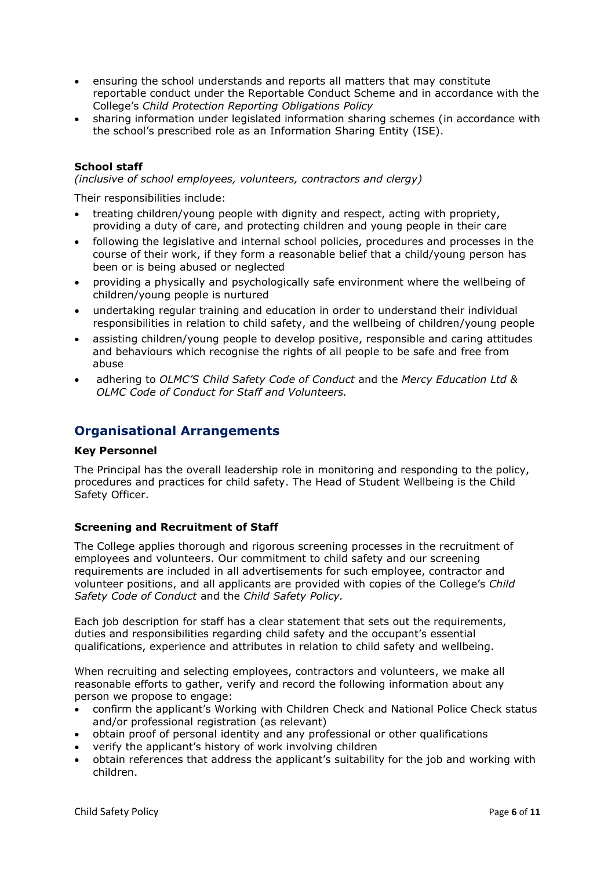- ensuring the school understands and reports all matters that may constitute reportable conduct under the Reportable Conduct Scheme and in accordance with the College's *Child Protection Reporting Obligations Policy*
- sharing information under legislated information sharing schemes (in accordance with the school's prescribed role as an Information Sharing Entity (ISE).

#### **School staff**

*(inclusive of school employees, volunteers, contractors and clergy)* 

Their responsibilities include:

- treating children/young people with dignity and respect, acting with propriety, providing a duty of care, and protecting children and young people in their care
- following the legislative and internal school policies, procedures and processes in the course of their work, if they form a reasonable belief that a child/young person has been or is being abused or neglected
- providing a physically and psychologically safe environment where the wellbeing of children/young people is nurtured
- undertaking regular training and education in order to understand their individual responsibilities in relation to child safety, and the wellbeing of children/young people
- assisting children/young people to develop positive, responsible and caring attitudes and behaviours which recognise the rights of all people to be safe and free from abuse
- adhering to *OLMC'S Child Safety Code of Conduct* and the *Mercy Education Ltd & OLMC Code of Conduct for Staff and Volunteers.*

### **Organisational Arrangements**

#### **Key Personnel**

The Principal has the overall leadership role in monitoring and responding to the policy, procedures and practices for child safety. The Head of Student Wellbeing is the Child Safety Officer.

#### **Screening and Recruitment of Staff**

The College applies thorough and rigorous screening processes in the recruitment of employees and volunteers. Our commitment to child safety and our screening requirements are included in all advertisements for such employee, contractor and volunteer positions, and all applicants are provided with copies of the College's *Child Safety Code of Conduct* and the *Child Safety Policy.*

Each job description for staff has a clear statement that sets out the requirements, duties and responsibilities regarding child safety and the occupant's essential qualifications, experience and attributes in relation to child safety and wellbeing.

When recruiting and selecting employees, contractors and volunteers, we make all reasonable efforts to gather, verify and record the following information about any person we propose to engage:

- confirm the applicant's Working with Children Check and National Police Check status and/or professional registration (as relevant)
- obtain proof of personal identity and any professional or other qualifications
- verify the applicant's history of work involving children
- obtain references that address the applicant's suitability for the job and working with children.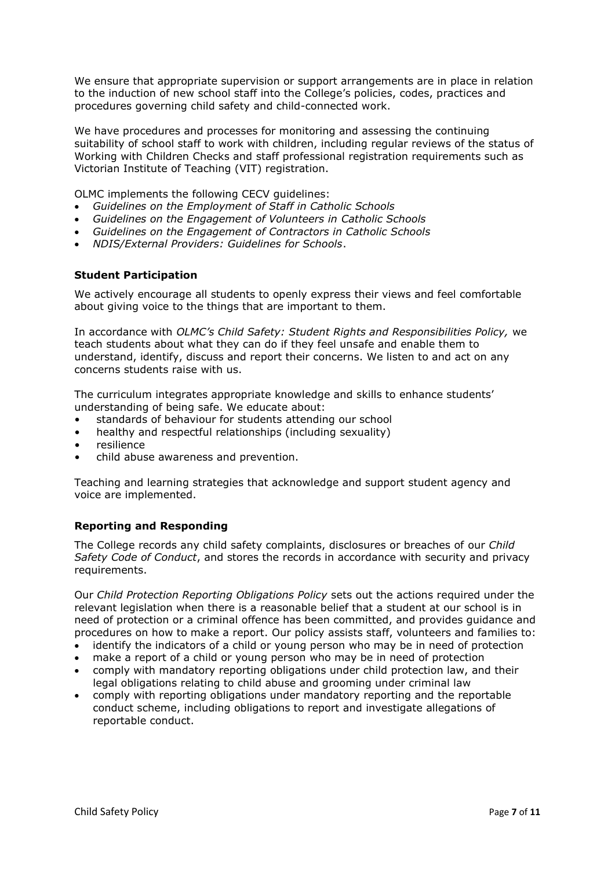We ensure that appropriate supervision or support arrangements are in place in relation to the induction of new school staff into the College's policies, codes, practices and procedures governing child safety and child-connected work.

We have procedures and processes for monitoring and assessing the continuing suitability of school staff to work with children, including regular reviews of the status of Working with Children Checks and staff professional registration requirements such as Victorian Institute of Teaching (VIT) registration.

OLMC implements the following CECV guidelines:

- *Guidelines on the Employment of Staff in Catholic Schools*
- *Guidelines on the Engagement of Volunteers in Catholic Schools*
- *Guidelines on the Engagement of Contractors in Catholic Schools*
- *NDIS/External Providers: Guidelines for Schools*.

#### **Student Participation**

We actively encourage all students to openly express their views and feel comfortable about giving voice to the things that are important to them.

In accordance with *OLMC's Child Safety: Student Rights and Responsibilities Policy,* we teach students about what they can do if they feel unsafe and enable them to understand, identify, discuss and report their concerns. We listen to and act on any concerns students raise with us.

The curriculum integrates appropriate knowledge and skills to enhance students' understanding of being safe. We educate about:

- standards of behaviour for students attending our school
- healthy and respectful relationships (including sexuality)
- **resilience**
- child abuse awareness and prevention.

Teaching and learning strategies that acknowledge and support student agency and voice are implemented.

#### **Reporting and Responding**

The College records any child safety complaints, disclosures or breaches of our *Child Safety Code of Conduct*, and stores the records in accordance with security and privacy requirements.

Our *Child Protection Reporting Obligations Policy* sets out the actions required under the relevant legislation when there is a reasonable belief that a student at our school is in need of protection or a criminal offence has been committed, and provides guidance and procedures on how to make a report. Our policy assists staff, volunteers and families to:

- identify the indicators of a child or young person who may be in need of protection
- make a report of a child or young person who may be in need of protection
- comply with mandatory reporting obligations under child protection law, and their legal obligations relating to child abuse and grooming under criminal law
- comply with reporting obligations under mandatory reporting and the reportable conduct scheme, including obligations to report and investigate allegations of reportable conduct.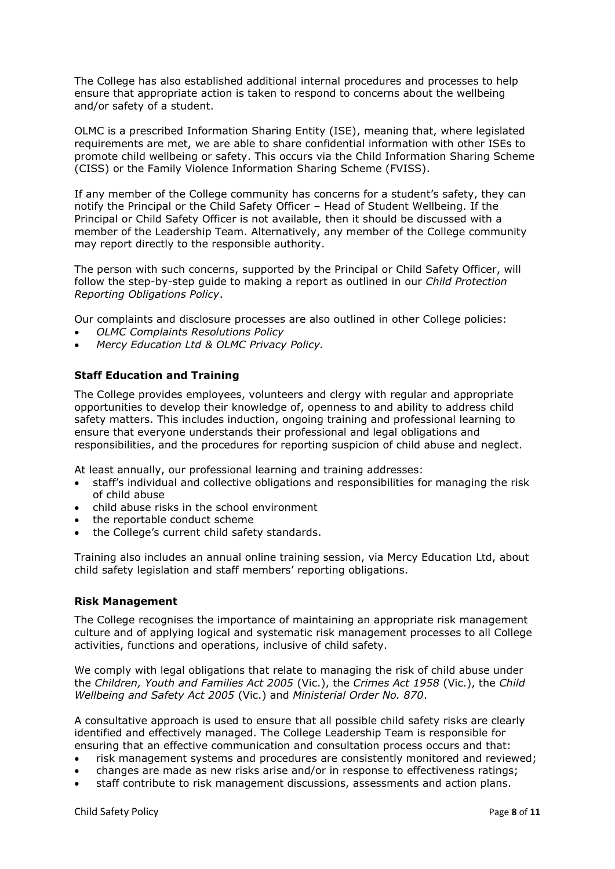The College has also established additional internal procedures and processes to help ensure that appropriate action is taken to respond to concerns about the wellbeing and/or safety of a student.

OLMC is a prescribed Information Sharing Entity (ISE), meaning that, where legislated requirements are met, we are able to share confidential information with other ISEs to promote child wellbeing or safety. This occurs via the Child Information Sharing Scheme (CISS) or the Family Violence Information Sharing Scheme (FVISS).

If any member of the College community has concerns for a student's safety, they can notify the Principal or the Child Safety Officer – Head of Student Wellbeing. If the Principal or Child Safety Officer is not available, then it should be discussed with a member of the Leadership Team. Alternatively, any member of the College community may report directly to the responsible authority.

The person with such concerns, supported by the Principal or Child Safety Officer, will follow the step-by-step guide to making a report as outlined in our *Child Protection Reporting Obligations Policy*.

Our complaints and disclosure processes are also outlined in other College policies:

- *OLMC Complaints Resolutions Policy*
- *Mercy Education Ltd & OLMC Privacy Policy.*

#### **Staff Education and Training**

The College provides employees, volunteers and clergy with regular and appropriate opportunities to develop their knowledge of, openness to and ability to address child safety matters. This includes induction, ongoing training and professional learning to ensure that everyone understands their professional and legal obligations and responsibilities, and the procedures for reporting suspicion of child abuse and neglect.

At least annually, our professional learning and training addresses:

- staff's individual and collective obligations and responsibilities for managing the risk of child abuse
- child abuse risks in the school environment
- the reportable conduct scheme
- the College's current child safety standards.

Training also includes an annual online training session, via Mercy Education Ltd, about child safety legislation and staff members' reporting obligations.

#### **Risk Management**

The College recognises the importance of maintaining an appropriate risk management culture and of applying logical and systematic risk management processes to all College activities, functions and operations, inclusive of child safety.

We comply with legal obligations that relate to managing the risk of child abuse under the *Children, Youth and Families Act 2005* (Vic.), the *Crimes Act 1958* (Vic.), the *Child Wellbeing and Safety Act 2005* (Vic.) and *Ministerial Order No. 870*.

A consultative approach is used to ensure that all possible child safety risks are clearly identified and effectively managed. The College Leadership Team is responsible for ensuring that an effective communication and consultation process occurs and that:

- risk management systems and procedures are consistently monitored and reviewed;
- changes are made as new risks arise and/or in response to effectiveness ratings;
- staff contribute to risk management discussions, assessments and action plans.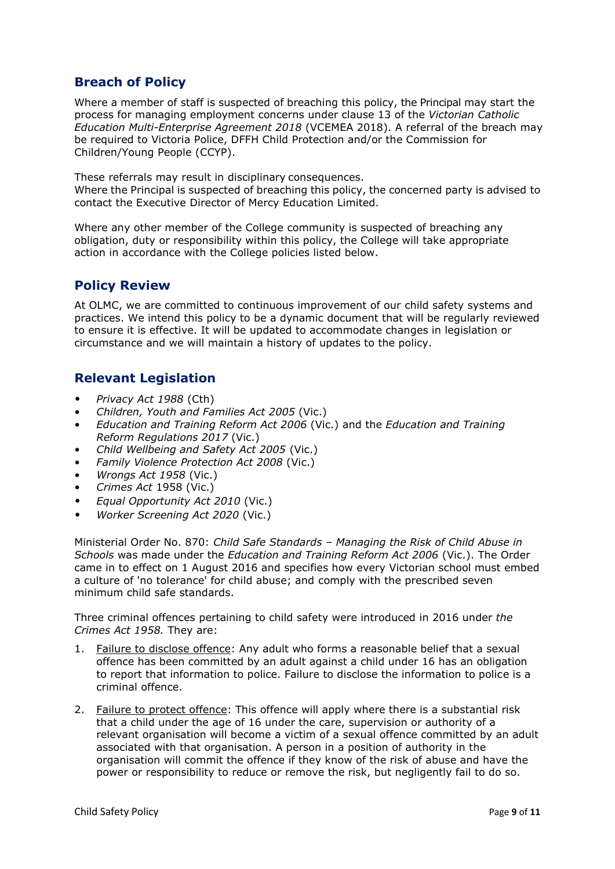## **Breach of Policy**

Where a member of staff is suspected of breaching this policy, the Principal may start the process for managing employment concerns under clause 13 of the *Victorian Catholic Education Multi-Enterprise Agreement 2018* (VCEMEA 2018). A referral of the breach may be required to Victoria Police, DFFH Child Protection and/or the Commission for Children/Young People (CCYP).

These referrals may result in disciplinary consequences.

Where the Principal is suspected of breaching this policy, the concerned party is advised to contact the Executive Director of Mercy Education Limited.

Where any other member of the College community is suspected of breaching any obligation, duty or responsibility within this policy, the College will take appropriate action in accordance with the College policies listed below.

### **Policy Review**

At OLMC, we are committed to continuous improvement of our child safety systems and practices. We intend this policy to be a dynamic document that will be regularly reviewed to ensure it is effective. It will be updated to accommodate changes in legislation or circumstance and we will maintain a history of updates to the policy.

### **Relevant Legislation**

- *Privacy Act 1988* (Cth)
- *Children, Youth and Families Act 2005* (Vic.)
- *Education and Training Reform Act 2006* (Vic.) and the *Education and Training Reform Regulations 2017* (Vic.)
- *Child Wellbeing and Safety Act 2005* (Vic.)
- *Family Violence Protection Act 2008* (Vic.)
- *Wrongs Act 1958* (Vic.)
- *Crimes Act* 1958 (Vic.)
- *Equal Opportunity Act 2010* (Vic.)
- *Worker Screening Act 2020* (Vic.)

Ministerial Order No. 870: *Child Safe Standards – Managing the Risk of Child Abuse in Schools* was made under the *Education and Training Reform Act 2006* (Vic.). The Order came in to effect on 1 August 2016 and specifies how every Victorian school must embed a culture of 'no tolerance' for child abuse; and comply with the prescribed seven minimum child safe standards.

Three criminal offences pertaining to child safety were introduced in 2016 under *the Crimes Act 1958.* They are:

- 1. [Failure to disclose offence:](https://www.justice.vic.gov.au/safer-communities/protecting-children-and-families/failure-to-disclose-offence#%3A~%3Atext%3DIn%202014%2C%20the%20law%20in%20Victoria%20was%20changed%2Coffended%20against%20a%20child%20under%2016%20in%20Victoria) Any adult who forms a reasonable belief that a sexual offence has been committed by an adult against a child under 16 has an obligation to report that information to police. Failure to disclose the information to police is a criminal offence.
- 2. [Failure to protect offence:](https://www.justice.vic.gov.au/safer-communities/protecting-children-and-families/failure-to-protect-a-new-criminal-offence-to#%3A~%3Atext%3DFailure%20to%20protect%3A%20a%20new%20criminal%20offence%20to%2Cfrom%20sexual%20abuse%20and%20exposure%20to%20sexual%20offenders) This offence will apply where there is a substantial risk that a child under the age of 16 under the care, supervision or authority of a relevant organisation will become a victim of a sexual offence committed by an adult associated with that organisation. A person in a position of authority in the organisation will commit the offence if they know of the risk of abuse and have the power or responsibility to reduce or remove the risk, but negligently fail to do so.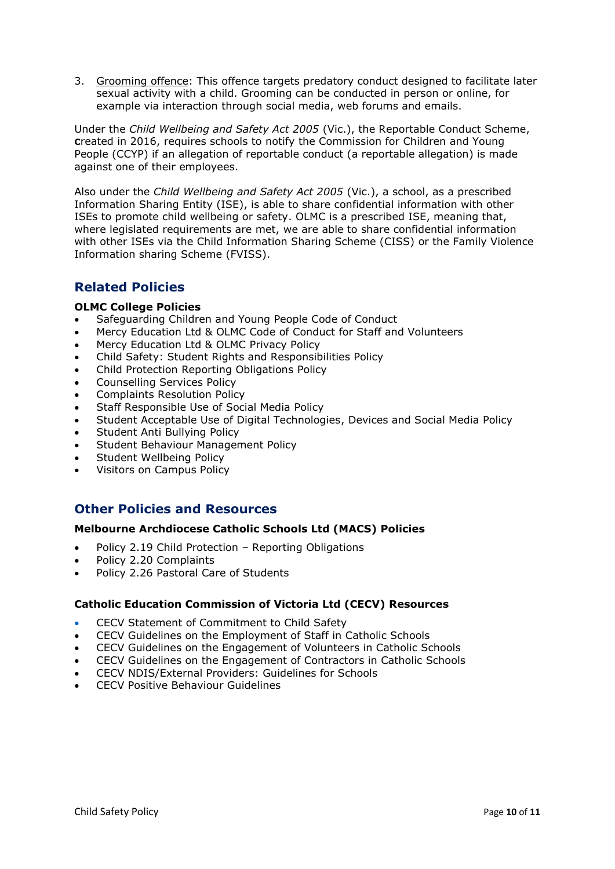3. [Grooming offence:](https://www.justice.vic.gov.au/safer-communities/protecting-children-and-families/grooming-offence) This offence targets predatory conduct designed to facilitate later sexual activity with a child. Grooming can be conducted in person or online, for example via interaction through social media, web forums and emails.

Under the *Child Wellbeing and Safety Act 2005* (Vic.), the Reportable Conduct Scheme, **C**reated in 2016, requires schools to notify the Commission for Children and Young People (CCYP) if an allegation of reportable conduct (a reportable allegation) is made against one of their employees.

Also under the *Child Wellbeing and Safety Act 2005* (Vic.), a school, as a prescribed Information Sharing Entity (ISE), is able to share confidential information with other ISEs to promote child wellbeing or safety. OLMC is a prescribed ISE, meaning that, where legislated requirements are met, we are able to share confidential information with other ISEs via the Child Information Sharing Scheme (CISS) or the Family Violence Information sharing Scheme (FVISS).

## **Related Policies**

### **OLMC College Policies**

- Safeguarding Children and Young People Code of Conduct
- Mercy Education Ltd & OLMC Code of Conduct for Staff and Volunteers
- Mercy Education Ltd & OLMC Privacy Policy
- Child Safety: Student Rights and Responsibilities Policy
- Child Protection Reporting Obligations Policy
- Counselling Services Policy
- Complaints Resolution Policy
- Staff Responsible Use of Social Media Policy
- Student Acceptable Use of Digital Technologies, Devices and Social Media Policy
- Student Anti Bullying Policy
- Student Behaviour Management Policy
- Student Wellbeing Policy
- Visitors on Campus Policy

### **Other Policies and Resources**

#### **Melbourne Archdiocese Catholic Schools Ltd (MACS) Policies**

- Policy 2.19 Child Protection [Reporting Obligations](https://www.macs.vic.edu.au/About-Us/Policies/Child-Protection-Reporting-Obligations.aspx)
- Policy 2.20 Complaints
- Policy 2.26 Pastoral Care of Students

### **Catholic Education Commission of Victoria Ltd (CECV) Resources**

- CECV Statement of Commitment to Child Safety
- [CECV Guidelines on the Employment of Staff in Catholic Schools](https://www.cecv.catholic.edu.au/getmedia/0393d7fb-2fb9-4e48-a05e-56b703dd62eb/Employment-Guidelines.aspx)
- [CECV Guidelines on the Engagement of Volunteers in Catholic Schools](https://www.cecv.catholic.edu.au/Media-Files/IR/Policies-Guidelines/Volunteers/Guidelines-on-the-Engagement-of-Volunteers.aspx)
- [CECV Guidelines on the Engagement of Contractors in Catholic Schools](https://www.cecv.catholic.edu.au/Media-Files/IR/Policies-Guidelines/Staff,-Contractors,-Volunteers/Contractor-Guidelines.aspx)
- [CECV NDIS/External Providers: Guidelines for Schools](https://www.cecv.catholic.edu.au/getmedia/cec12bdf-5e03-4d3a-ac47-504fe084f415/NDIS-External-Providers-Guidelines.aspx?ext=.pdf)
- [CECV Positive Behaviour Guidelines](https://www.cecv.catholic.edu.au/getmedia/bc1d235d-9a98-4bb4-b3ac-84b50fa7c639/CECV-Positive-Behaviour-Guidelines_FINAL2.aspx?ext=.pdf)